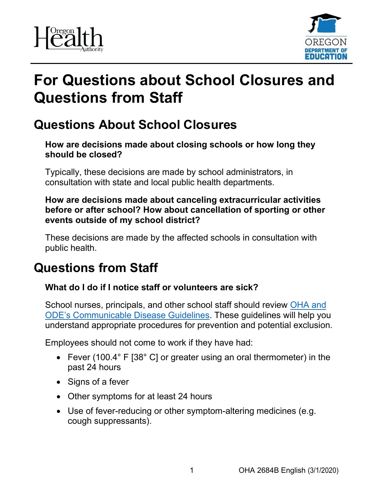



# **For Questions about School Closures and Questions from Staff**

# **Questions About School Closures**

**How are decisions made about closing schools or how long they should be closed?**

Typically, these decisions are made by school administrators, in consultation with state and local public health departments.

**How are decisions made about canceling extracurricular activities before or after school? How about cancellation of sporting or other events outside of my school district?**

These decisions are made by the affected schools in consultation with public health.

# **Questions from Staff**

## **What do I do if I notice staff or volunteers are sick?**

School nurses, principals, and other school staff should review [OHA and](https://www.oregon.gov/ode/students-and-family/healthsafety/Documents/commdisease.pdf)  [ODE's Communicable Disease Guidelines.](https://www.oregon.gov/ode/students-and-family/healthsafety/Documents/commdisease.pdf) These guidelines will help you understand appropriate procedures for prevention and potential exclusion.

Employees should not come to work if they have had:

- Fever (100.4° F [38° C] or greater using an oral thermometer) in the past 24 hours
- Signs of a fever
- Other symptoms for at least 24 hours
- Use of fever-reducing or other symptom-altering medicines (e.g. cough suppressants).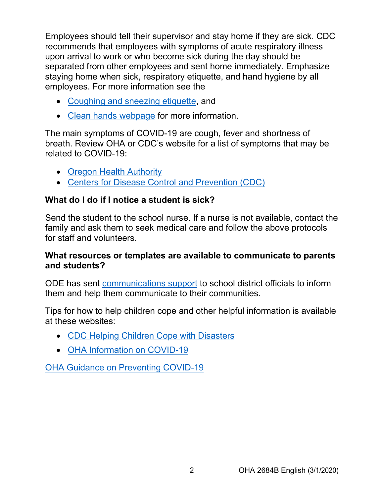Employees should tell their supervisor and stay home if they are sick. CDC recommends that employees with symptoms of acute respiratory illness upon arrival to work or who become sick during the day should be separated from other employees and sent home immediately. Emphasize staying home when sick, respiratory etiquette, and hand hygiene by all employees. For more information see the

- [Coughing and sneezing etiquette,](https://www.cdc.gov/healthywater/hygiene/etiquette/coughing_sneezing.html?utm_medium=email&utm_source=govdelivery) and
- [Clean hands webpage](https://www.cdc.gov/handwashing/index.html?utm_medium=email&utm_source=govdelivery) for more information.

The main symptoms of COVID-19 are cough, fever and shortness of breath. Review OHA or CDC's website for a list of symptoms that may be related to COVID-19:

- [Oregon Health Authority](https://www.oregon.gov/oha/PH/DISEASESCONDITIONS/DISEASESAZ/Pages/emerging-respiratory-infections.aspx)
- [Centers for Disease Control and Prevention \(CDC\)](https://www.cdc.gov/coronavirus/2019-nCoV/summary.html)

# **What do I do if I notice a student is sick?**

Send the student to the school nurse. If a nurse is not available, contact the family and ask them to seek medical care and follow the above protocols for staff and volunteers.

### **What resources or templates are available to communicate to parents and students?**

ODE has sent [communications support](https://www.oregon.gov/ode/students-and-family/healthsafety/Pages/COVID19.aspx) to school district officials to inform them and help them communicate to their communities.

Tips for how to help children cope and other helpful information is available at these websites:

- [CDC Helping Children Cope with Disasters](https://www.cdc.gov/childrenindisasters/helping-children-cope.html?utm_medium=email&utm_source=govdelivery)
- [OHA Information on COVID-19](https://www.oregon.gov/oha/PH/DISEASESCONDITIONS/DISEASESAZ/Pages/emerging-respiratory-infections.aspx?utm_medium=email&utm_source=govdelivery)

[OHA Guidance on Preventing COVID-19](https://www.oregon.gov/oha/PH/DISEASESCONDITIONS/DISEASESAZ/Pages/emerging-respiratory-infections.aspx?utm_medium=email&utm_source=govdelivery)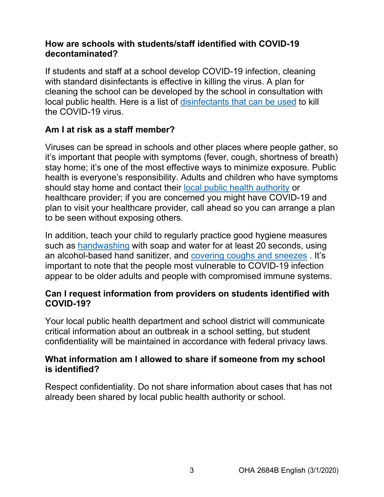### **How are schools with students/staff identified with COVID-19 decontaminated?**

If students and staff at a school develop COVID-19 infection, cleaning with standard disinfectants is effective in killing the virus. A plan for cleaning the school can be developed by the school in consultation with local public health. Here is a list of [disinfectants that can be used](https://www.aphis.usda.gov/animal_health/emergency_management/downloads/coronavirus-disinfectants.pdf) to kill the COVID-19 virus.

## **Am I at risk as a staff member?**

Viruses can be spread in schools and other places where people gather, so it's important that people with symptoms (fever, cough, shortness of breath) stay home; it's one of the most effective ways to minimize exposure. Public health is everyone's responsibility. Adults and children who have symptoms should stay home and contact their [local public health authority](https://www.oregon.gov/oha/ph/providerpartnerresources/localhealthdepartmentresources/pages/lhd.aspx?utm_medium=email&utm_source=govdelivery) or healthcare provider; if you are concerned you might have COVID-19 and plan to visit your healthcare provider, call ahead so you can arrange a plan to be seen without exposing others.

In addition, teach your child to regularly practice good hygiene measures such as [handwashing](https://www.cdc.gov/handwashing/index.html?utm_medium=email&utm_source=govdelivery) with soap and water for at least 20 seconds, using an alcohol-based hand sanitizer, and [covering coughs and sneezes](http://www.cdc.gov/healthywater/hygiene/etiquette/coughing_sneezing.html?utm_medium=email&utm_source=govdelivery) . It's important to note that the people most vulnerable to COVID-19 infection appear to be older adults and people with compromised immune systems.

#### **Can I request information from providers on students identified with COVID-19?**

Your local public health department and school district will communicate critical information about an outbreak in a school setting, but student confidentiality will be maintained in accordance with federal privacy laws.

#### **What information am I allowed to share if someone from my school is identified?**

Respect confidentiality. Do not share information about cases that has not already been shared by local public health authority or school.